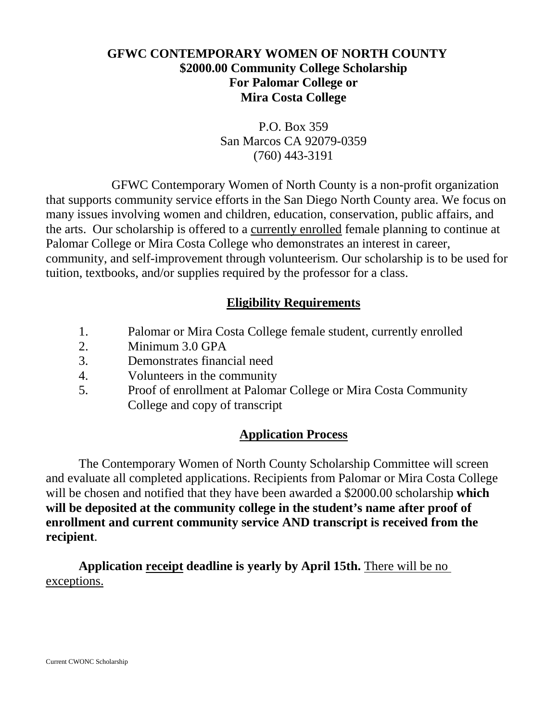## **GFWC CONTEMPORARY WOMEN OF NORTH COUNTY \$2000.00 Community College Scholarship For Palomar College or Mira Costa College**

P.O. Box 359 San Marcos CA 92079-0359 (760) 443-3191

GFWC Contemporary Women of North County is a non-profit organization that supports community service efforts in the San Diego North County area. We focus on many issues involving women and children, education, conservation, public affairs, and the arts. Our scholarship is offered to a currently enrolled female planning to continue at Palomar College or Mira Costa College who demonstrates an interest in career, community, and self-improvement through volunteerism. Our scholarship is to be used for tuition, textbooks, and/or supplies required by the professor for a class.

# **Eligibility Requirements**

- 1. Palomar or Mira Costa College female student, currently enrolled
- 2. Minimum 3.0 GPA
- 3. Demonstrates financial need
- 4. Volunteers in the community
- 5. Proof of enrollment at Palomar College or Mira Costa Community College and copy of transcript

## **Application Process**

The Contemporary Women of North County Scholarship Committee will screen and evaluate all completed applications. Recipients from Palomar or Mira Costa College will be chosen and notified that they have been awarded a \$2000.00 scholarship **which will be deposited at the community college in the student's name after proof of enrollment and current community service AND transcript is received from the recipient**.

**Application receipt deadline is yearly by April 15th.** There will be no exceptions.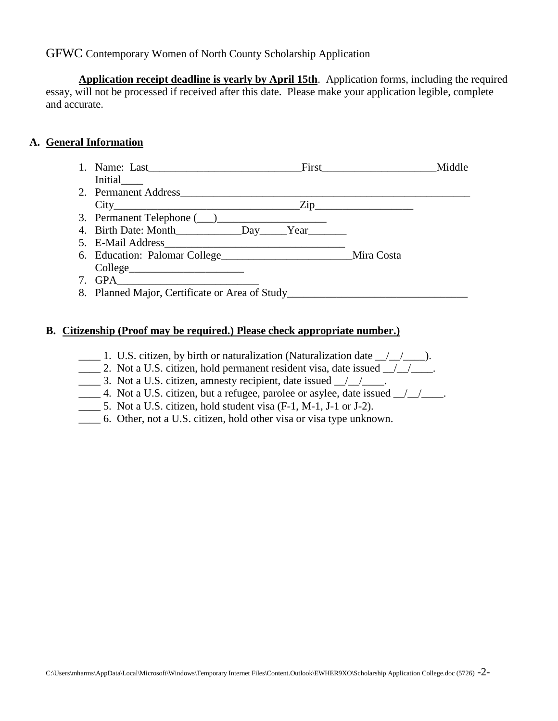**Application receipt deadline is yearly by April 15th**. Application forms, including the required essay, will not be processed if received after this date. Please make your application legible, complete and accurate.

#### **A. General Information**

- 1. Name: Last\_\_\_\_\_\_\_\_\_\_\_\_\_\_\_\_\_\_\_\_\_\_\_\_\_\_\_\_First\_\_\_\_\_\_\_\_\_\_\_\_\_\_\_\_\_\_\_\_\_Middle Initial\_\_\_\_
- 2. Permanent Address\_\_\_\_\_\_\_\_\_\_\_\_\_\_\_\_\_\_\_\_\_\_\_\_\_\_\_\_\_\_\_\_\_\_\_\_\_\_\_\_\_\_\_\_\_\_\_\_\_\_\_\_\_ City Zip
- 3. Permanent Telephone  $(\_\_)$
- 4. Birth Date: Month\_\_\_\_\_\_\_\_\_\_\_\_Day\_\_\_\_\_Year\_\_\_\_\_\_\_
- 5. E-Mail Address\_\_\_\_\_\_\_\_\_\_\_\_\_\_\_\_\_\_\_\_\_\_\_\_\_\_\_\_\_\_\_\_\_
- 6. Education: Palomar College\_\_\_\_\_\_\_\_\_\_\_\_\_\_\_\_\_\_\_\_\_\_\_\_Mira Costa College\_\_\_\_\_\_\_\_\_\_\_\_\_\_\_\_\_\_\_\_\_
- $7.$  GPA
- 8. Planned Major, Certificate or Area of Study\_\_\_\_\_\_\_\_\_\_\_\_\_\_\_\_\_\_\_\_\_\_\_\_\_\_\_\_\_\_\_\_\_\_\_

#### **B. Citizenship (Proof may be required.) Please check appropriate number.)**

- $\frac{1}{\sqrt{2}}$  1. U.S. citizen, by birth or naturalization (Naturalization date  $\frac{1}{\sqrt{2}}$ ).
- $\frac{1}{2}$  2. Not a U.S. citizen, hold permanent resident visa, date issued  $\frac{1}{2}$
- 3. Not a U.S. citizen, amnesty recipient, date issued  $\frac{1}{2}$
- $\frac{1}{2}$  4. Not a U.S. citizen, but a refugee, parolee or asylee, date issued  $\frac{1}{2}$
- \_\_\_\_ 5. Not a U.S. citizen, hold student visa (F-1, M-1, J-1 or J-2).
- \_\_\_\_ 6. Other, not a U.S. citizen, hold other visa or visa type unknown.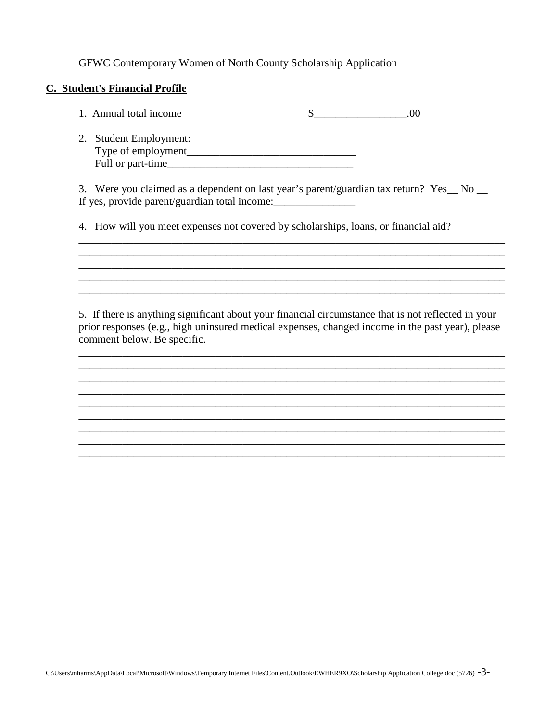#### **C. Student's Financial Profile**

| 1. Annual total income | .00 |
|------------------------|-----|
| 2. Student Employment: |     |
| Type of employment     |     |

If yes, provide parent/guardian total income:\_\_\_\_\_\_\_\_\_\_\_\_\_\_\_

Full or part-time\_\_\_\_\_\_\_\_\_\_\_\_\_\_\_\_\_\_\_\_\_\_\_\_\_\_\_\_\_\_\_\_\_\_ 3. Were you claimed as a dependent on last year's parent/guardian tax return? Yes\_ No \_

4. How will you meet expenses not covered by scholarships, loans, or financial aid?

5. If there is anything significant about your financial circumstance that is not reflected in your prior responses (e.g., high uninsured medical expenses, changed income in the past year), please comment below. Be specific.

\_\_\_\_\_\_\_\_\_\_\_\_\_\_\_\_\_\_\_\_\_\_\_\_\_\_\_\_\_\_\_\_\_\_\_\_\_\_\_\_\_\_\_\_\_\_\_\_\_\_\_\_\_\_\_\_\_\_\_\_\_\_\_\_\_\_\_\_\_\_\_\_\_\_\_\_\_\_

\_\_\_\_\_\_\_\_\_\_\_\_\_\_\_\_\_\_\_\_\_\_\_\_\_\_\_\_\_\_\_\_\_\_\_\_\_\_\_\_\_\_\_\_\_\_\_\_\_\_\_\_\_\_\_\_\_\_\_\_\_\_\_\_\_\_\_\_\_\_\_\_\_\_\_\_\_\_ \_\_\_\_\_\_\_\_\_\_\_\_\_\_\_\_\_\_\_\_\_\_\_\_\_\_\_\_\_\_\_\_\_\_\_\_\_\_\_\_\_\_\_\_\_\_\_\_\_\_\_\_\_\_\_\_\_\_\_\_\_\_\_\_\_\_\_\_\_\_\_\_\_\_\_\_\_\_ \_\_\_\_\_\_\_\_\_\_\_\_\_\_\_\_\_\_\_\_\_\_\_\_\_\_\_\_\_\_\_\_\_\_\_\_\_\_\_\_\_\_\_\_\_\_\_\_\_\_\_\_\_\_\_\_\_\_\_\_\_\_\_\_\_\_\_\_\_\_\_\_\_\_\_\_\_\_ \_\_\_\_\_\_\_\_\_\_\_\_\_\_\_\_\_\_\_\_\_\_\_\_\_\_\_\_\_\_\_\_\_\_\_\_\_\_\_\_\_\_\_\_\_\_\_\_\_\_\_\_\_\_\_\_\_\_\_\_\_\_\_\_\_\_\_\_\_\_\_\_\_\_\_\_\_\_ \_\_\_\_\_\_\_\_\_\_\_\_\_\_\_\_\_\_\_\_\_\_\_\_\_\_\_\_\_\_\_\_\_\_\_\_\_\_\_\_\_\_\_\_\_\_\_\_\_\_\_\_\_\_\_\_\_\_\_\_\_\_\_\_\_\_\_\_\_\_\_\_\_\_\_\_\_\_ \_\_\_\_\_\_\_\_\_\_\_\_\_\_\_\_\_\_\_\_\_\_\_\_\_\_\_\_\_\_\_\_\_\_\_\_\_\_\_\_\_\_\_\_\_\_\_\_\_\_\_\_\_\_\_\_\_\_\_\_\_\_\_\_\_\_\_\_\_\_\_\_\_\_\_\_\_\_ \_\_\_\_\_\_\_\_\_\_\_\_\_\_\_\_\_\_\_\_\_\_\_\_\_\_\_\_\_\_\_\_\_\_\_\_\_\_\_\_\_\_\_\_\_\_\_\_\_\_\_\_\_\_\_\_\_\_\_\_\_\_\_\_\_\_\_\_\_\_\_\_\_\_\_\_\_\_

\_\_\_\_\_\_\_\_\_\_\_\_\_\_\_\_\_\_\_\_\_\_\_\_\_\_\_\_\_\_\_\_\_\_\_\_\_\_\_\_\_\_\_\_\_\_\_\_\_\_\_\_\_\_\_\_\_\_\_\_\_\_\_\_\_\_\_\_\_\_\_\_\_\_\_\_\_\_

\_\_\_\_\_\_\_\_\_\_\_\_\_\_\_\_\_\_\_\_\_\_\_\_\_\_\_\_\_\_\_\_\_\_\_\_\_\_\_\_\_\_\_\_\_\_\_\_\_\_\_\_\_\_\_\_\_\_\_\_\_\_\_\_\_\_\_\_\_\_\_\_\_\_\_\_\_\_ \_\_\_\_\_\_\_\_\_\_\_\_\_\_\_\_\_\_\_\_\_\_\_\_\_\_\_\_\_\_\_\_\_\_\_\_\_\_\_\_\_\_\_\_\_\_\_\_\_\_\_\_\_\_\_\_\_\_\_\_\_\_\_\_\_\_\_\_\_\_\_\_\_\_\_\_\_\_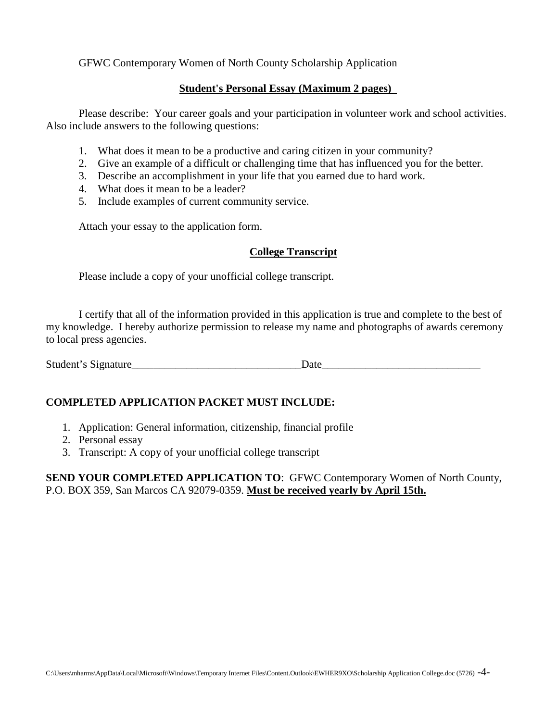#### **Student's Personal Essay (Maximum 2 pages)**

Please describe: Your career goals and your participation in volunteer work and school activities. Also include answers to the following questions:

- 1. What does it mean to be a productive and caring citizen in your community?
- 2. Give an example of a difficult or challenging time that has influenced you for the better.
- 3. Describe an accomplishment in your life that you earned due to hard work.
- 4. What does it mean to be a leader?
- 5. Include examples of current community service.

Attach your essay to the application form.

#### **College Transcript**

Please include a copy of your unofficial college transcript.

I certify that all of the information provided in this application is true and complete to the best of my knowledge. I hereby authorize permission to release my name and photographs of awards ceremony to local press agencies.

Student's Signature\_\_\_\_\_\_\_\_\_\_\_\_\_\_\_\_\_\_\_\_\_\_\_\_\_\_\_\_\_\_\_Date\_\_\_\_\_\_\_\_\_\_\_\_\_\_\_\_\_\_\_\_\_\_\_\_\_\_\_\_\_

### **COMPLETED APPLICATION PACKET MUST INCLUDE:**

- 1. Application: General information, citizenship, financial profile
- 2. Personal essay
- 3. Transcript: A copy of your unofficial college transcript

**SEND YOUR COMPLETED APPLICATION TO**: GFWC Contemporary Women of North County, P.O. BOX 359, San Marcos CA 92079-0359. **Must be received yearly by April 15th.**